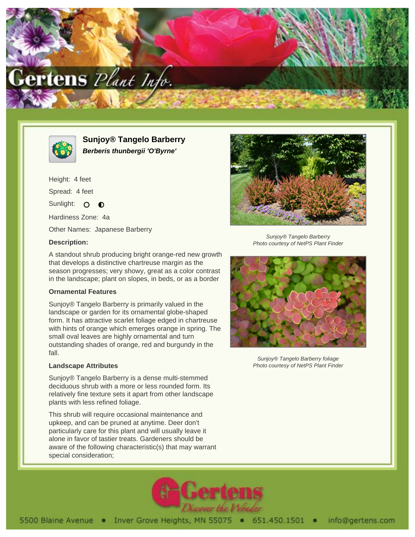



**Sunjoy® Tangelo Barberry Berberis thunbergii 'O'Byrne'**

Height: 4 feet Spread: 4 feet Sunlight: O  $\bullet$ Hardiness Zone: 4a

Other Names: Japanese Barberry

## **Description:**



Sunjoy® Tangelo Barberry Photo courtesy of NetPS Plant Finder

A standout shrub producing bright orange-red new growth that develops a distinctive chartreuse margin as the season progresses; very showy, great as a color contrast in the landscape; plant on slopes, in beds, or as a border

# **Ornamental Features**

Sunjoy® Tangelo Barberry is primarily valued in the landscape or garden for its ornamental globe-shaped form. It has attractive scarlet foliage edged in chartreuse with hints of orange which emerges orange in spring. The small oval leaves are highly ornamental and turn outstanding shades of orange, red and burgundy in the fall.

## **Landscape Attributes**

Sunjoy® Tangelo Barberry is a dense multi-stemmed deciduous shrub with a more or less rounded form. Its relatively fine texture sets it apart from other landscape plants with less refined foliage.

This shrub will require occasional maintenance and upkeep, and can be pruned at anytime. Deer don't particularly care for this plant and will usually leave it alone in favor of tastier treats. Gardeners should be aware of the following characteristic(s) that may warrant special consideration;



Sunjoy® Tangelo Barberry foliage Photo courtesy of NetPS Plant Finder